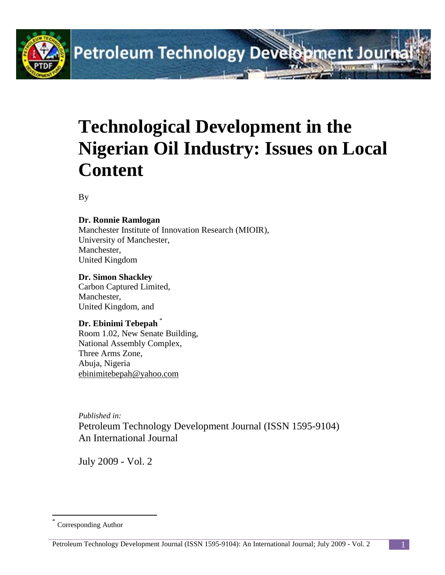

# **Petroleum Technology Development Journ**

## **Technological Development in the Nigerian Oil Industry: Issues on Local Content**

By

#### **Dr. Ronnie Ramlogan**

Manchester Institute of Innovation Research (MIOIR), University of Manchester, Manchester, United Kingdom

#### **Dr. Simon Shackley**

Carbon Captured Limited, Manchester, United Kingdom, and

#### **Dr. Ebinimi Tebepah** [\\*](#page-0-0)

Room 1.02, New Senate Building, National Assembly Complex, Three Arms Zone, Abuja, Nigeria [ebinimitebepah@yahoo.com](mailto:ebinimitebepah@yahoo.com)

*Published in:* Petroleum Technology Development Journal (ISSN 1595-9104) An International Journal

July 2009 - Vol. 2

<span id="page-0-0"></span>Corresponding Author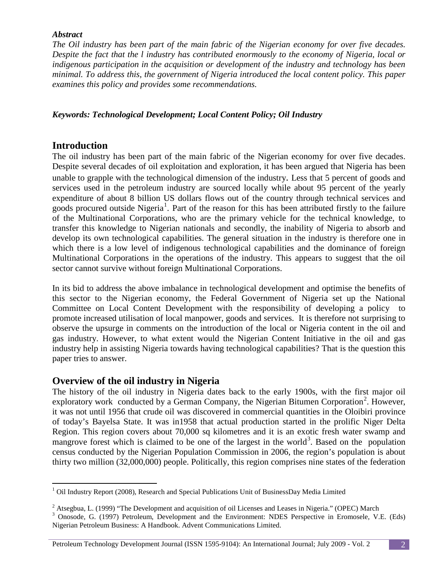#### *Abstract*

*The Oil industry has been part of the main fabric of the Nigerian economy for over five decades. Despite the fact that the l industry has contributed enormously to the economy of Nigeria, local or indigenous participation in the acquisition or development of the industry and technology has been minimal. To address this, the government of Nigeria introduced the local content policy. This paper examines this policy and provides some recommendations.*

#### *Keywords: Technological Development; Local Content Policy; Oil Industry*

#### **Introduction**

The oil industry has been part of the main fabric of the Nigerian economy for over five decades. Despite several decades of oil exploitation and exploration, it has been argued that Nigeria has been unable to grapple with the technological dimension of the industry. Less that 5 percent of goods and services used in the petroleum industry are sourced locally while about 95 percent of the yearly expenditure of about 8 billion US dollars flows out of the country through technical services and goods procured outside Nigeria<sup>[1](#page-1-0)</sup>. Part of the reason for this has been attributed firstly to the failure of the Multinational Corporations, who are the primary vehicle for the technical knowledge, to transfer this knowledge to Nigerian nationals and secondly, the inability of Nigeria to absorb and develop its own technological capabilities. The general situation in the industry is therefore one in which there is a low level of indigenous technological capabilities and the dominance of foreign Multinational Corporations in the operations of the industry. This appears to suggest that the oil sector cannot survive without foreign Multinational Corporations.

In its bid to address the above imbalance in technological development and optimise the benefits of this sector to the Nigerian economy, the Federal Government of Nigeria set up the National Committee on Local Content Development with the responsibility of developing a policy to promote increased utilisation of local manpower, goods and services. It is therefore not surprising to observe the upsurge in comments on the introduction of the local or Nigeria content in the oil and gas industry. However, to what extent would the Nigerian Content Initiative in the oil and gas industry help in assisting Nigeria towards having technological capabilities? That is the question this paper tries to answer.

#### **Overview of the oil industry in Nigeria**

The history of the oil industry in Nigeria dates back to the early 1900s, with the first major oil exploratory work conducted by a German Company, the Nigerian Bitumen Corporation<sup>[2](#page-1-1)</sup>. However, it was not until 1956 that crude oil was discovered in commercial quantities in the Oloibiri province of today's Bayelsa State. It was in1958 that actual production started in the prolific Niger Delta Region. This region covers about 70,000 sq kilometres and it is an exotic fresh water swamp and mangrove forest which is claimed to be one of the largest in the world<sup>[3](#page-1-2)</sup>. Based on the population census conducted by the Nigerian Population Commission in 2006, the region's population is about thirty two million (32,000,000) people. Politically, this region comprises nine states of the federation

<span id="page-1-0"></span><sup>&</sup>lt;sup>1</sup> Oil Industry Report (2008), Research and Special Publications Unit of BusinessDay Media Limited

<span id="page-1-2"></span><span id="page-1-1"></span><sup>&</sup>lt;sup>2</sup> Atsegbua, L. (1999) "The Development and acquisition of oil Licenses and Leases in Nigeria." (OPEC) March  $3$  Onosode, G. (1997) Petroleum, Development and the Environment: NDES Perspective in Eromosele, V.E. (Eds) Nigerian Petroleum Business: A Handbook. Advent Communications Limited.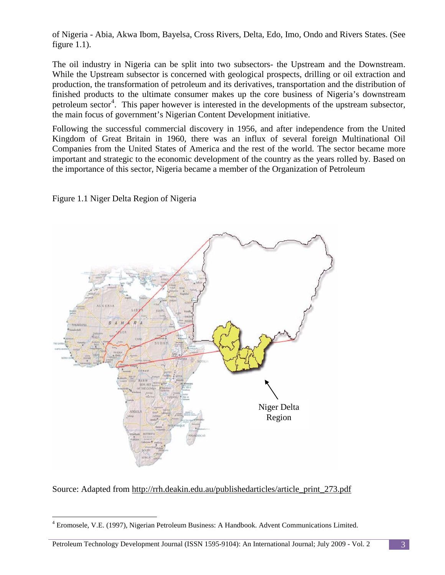of Nigeria - Abia, Akwa Ibom, Bayelsa, Cross Rivers, Delta, Edo, Imo, Ondo and Rivers States. (See figure 1.1).

The oil industry in Nigeria can be split into two subsectors- the Upstream and the Downstream. While the Upstream subsector is concerned with geological prospects, drilling or oil extraction and production, the transformation of petroleum and its derivatives, transportation and the distribution of finished products to the ultimate consumer makes up the core business of Nigeria's downstream petroleum sector<sup>[4](#page-2-0)</sup>. This paper however is interested in the developments of the upstream subsector, the main focus of government's Nigerian Content Development initiative.

Following the successful commercial discovery in 1956, and after independence from the United Kingdom of Great Britain in 1960, there was an influx of several foreign Multinational Oil Companies from the United States of America and the rest of the world. The sector became more important and strategic to the economic development of the country as the years rolled by. Based on the importance of this sector, Nigeria became a member of the Organization of Petroleum

Figure 1.1 Niger Delta Region of Nigeria



Source: Adapted from [http://rrh.deakin.edu.au/publishedarticles/article\\_print\\_273.pdf](http://rrh.deakin.edu.au/publishedarticles/article_print_273.pdf)

<span id="page-2-0"></span> <sup>4</sup> Eromosele, V.E. (1997), Nigerian Petroleum Business: A Handbook. Advent Communications Limited.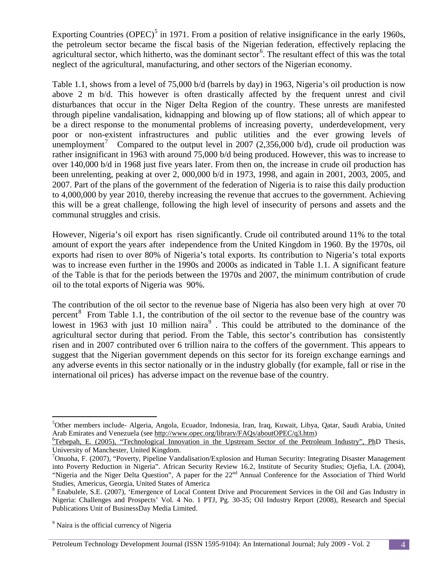Exporting Countries (OPEC)<sup>[5](#page-3-0)</sup> in 1971. From a position of relative insignificance in the early 1960s, the petroleum sector became the fiscal basis of the Nigerian federation, effectively replacing the agricultural sector, which hitherto, was the dominant sector<sup>[6](#page-3-1)</sup>. The resultant effect of this was the total neglect of the agricultural, manufacturing, and other sectors of the Nigerian economy.

Table 1.1, shows from a level of 75,000 b/d (barrels by day) in 1963, Nigeria's oil production is now above 2 m b/d. This however is often drastically affected by the frequent unrest and civil disturbances that occur in the Niger Delta Region of the country. These unrests are manifested through pipeline vandalisation, kidnapping and blowing up of flow stations; all of which appear to be a direct response to the monumental problems of increasing poverty, underdevelopment, very poor or non-existent infrastructures and public utilities and the ever growing levels of unemployment<sup>[7](#page-3-2)</sup> Compared to the output level in 2007 (2,356,000 b/d), crude oil production was rather insignificant in 1963 with around 75,000 b/d being produced. However, this was to increase to over 140,000 b/d in 1968 just five years later. From then on, the increase in crude oil production has been unrelenting, peaking at over 2, 000,000 b/d in 1973, 1998, and again in 2001, 2003, 2005, and 2007. Part of the plans of the government of the federation of Nigeria is to raise this daily production to 4,000,000 by year 2010, thereby increasing the revenue that accrues to the government. Achieving this will be a great challenge, following the high level of insecurity of persons and assets and the communal struggles and crisis.

However, Nigeria's oil export has risen significantly. Crude oil contributed around 11% to the total amount of export the years after independence from the United Kingdom in 1960. By the 1970s, oil exports had risen to over 80% of Nigeria's total exports. Its contribution to Nigeria's total exports was to increase even further in the 1990s and 2000s as indicated in Table 1.1. A significant feature of the Table is that for the periods between the 1970s and 2007, the minimum contribution of crude oil to the total exports of Nigeria was 90%.

The contribution of the oil sector to the revenue base of Nigeria has also been very high at over 70 percent<sup>[8](#page-3-3)</sup> From Table 1.1, the contribution of the oil sector to the revenue base of the country was lowest in 1[9](#page-3-4)63 with just 10 million naira<sup>9</sup>. This could be attributed to the dominance of the agricultural sector during that period. From the Table, this sector's contribution has consistently risen and in 2007 contributed over 6 trillion naira to the coffers of the government. This appears to suggest that the Nigerian government depends on this sector for its foreign exchange earnings and any adverse events in this sector nationally or in the industry globally (for example, fall or rise in the international oil prices) has adverse impact on the revenue base of the country.

<span id="page-3-0"></span> <sup>5</sup> <sup>5</sup>Other members include- Algeria, Angola, Ecuador, Indonesia, Iran, Iraq, Kuwait, Libya, Qatar, Saudi Arabia, United Arab Emirates and Venezuela (see [http://www.opec.org/library/FAQs/aboutOPEC/q3.htm\)](http://www.opec.org/library/FAQs/aboutOPEC/q3.htm) <sup>6</sup>

<span id="page-3-1"></span> ${}^{6}$ Tebepah, E. (2005), "Technological Innovation in the Upstream Sector of the Petroleum Industry", PhD Thesis, University of Manchester, United Kingdom. <sup>7</sup>

<span id="page-3-2"></span><sup>&</sup>lt;sup>7</sup>Onuoha, F. (2007), "Poverty, Pipeline Vandalisation/Explosion and Human Security: Integrating Disaster Management into Poverty Reduction in Nigeria". African Security Review 16.2, Institute of Security Studies; Ojefia, I.A. (2004), "Nigeria and the Niger Delta Question", A paper for the 22<sup>nd</sup> Annual Conference for the Association of Third World Studies, Americus, Georgia, United States of America

<span id="page-3-3"></span><sup>8</sup> Enabulele, S.E. (2007), 'Emergence of Local Content Drive and Procurement Services in the Oil and Gas Industry in Nigeria: Challenges and Prospects' Vol. 4 No. 1 PTJ, Pg. 30-35; Oil Industry Report (2008), Research and Special Publications Unit of BusinessDay Media Limited.

<span id="page-3-4"></span><sup>&</sup>lt;sup>9</sup> Naira is the official currency of Nigeria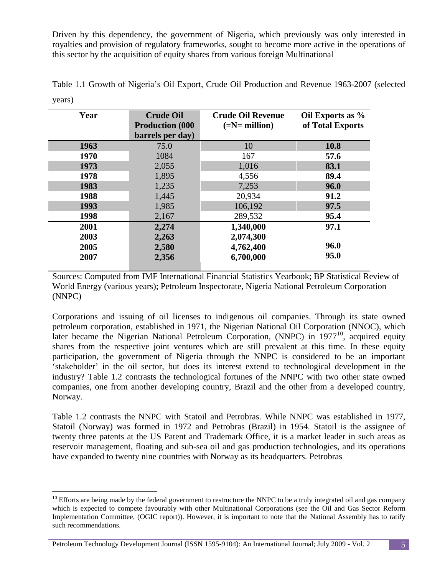Driven by this dependency, the government of Nigeria, which previously was only interested in royalties and provision of regulatory frameworks, sought to become more active in the operations of this sector by the acquisition of equity shares from various foreign Multinational

| Year | <b>Crude Oil</b><br><b>Production (000)</b><br>barrels per day) | <b>Crude Oil Revenue</b><br>$(=\mathbf{N}=\mathbf{million})$ | Oil Exports as %<br>of Total Exports |
|------|-----------------------------------------------------------------|--------------------------------------------------------------|--------------------------------------|
| 1963 | 75.0                                                            | 10                                                           | <b>10.8</b>                          |
| 1970 | 1084                                                            | 167                                                          | 57.6                                 |
| 1973 | 2,055                                                           | 1,016                                                        | 83.1                                 |
| 1978 | 1,895                                                           | 4,556                                                        | 89.4                                 |
| 1983 | 1,235                                                           | 7,253                                                        | 96.0                                 |
| 1988 | 1,445                                                           | 20,934                                                       | 91.2                                 |
| 1993 | 1,985                                                           | 106,192                                                      | 97.5                                 |
| 1998 | 2,167                                                           | 289,532                                                      | 95.4                                 |
| 2001 | 2,274                                                           | 1,340,000                                                    | 97.1                                 |
| 2003 | 2,263                                                           | 2,074,300                                                    |                                      |
| 2005 | 2,580                                                           | 4,762,400                                                    | 96.0                                 |
| 2007 | 2,356                                                           | 6,700,000                                                    | 95.0                                 |

Table 1.1 Growth of Nigeria's Oil Export, Crude Oil Production and Revenue 1963-2007 (selected years)

Sources: Computed from IMF International Financial Statistics Yearbook; BP Statistical Review of World Energy (various years); Petroleum Inspectorate, Nigeria National Petroleum Corporation (NNPC)

Corporations and issuing of oil licenses to indigenous oil companies. Through its state owned petroleum corporation, established in 1971, the Nigerian National Oil Corporation (NNOC), which later became the Nigerian National Petroleum Corporation, (NNPC) in  $1977^{10}$  $1977^{10}$  $1977^{10}$ , acquired equity shares from the respective joint ventures which are still prevalent at this time. In these equity participation, the government of Nigeria through the NNPC is considered to be an important 'stakeholder' in the oil sector, but does its interest extend to technological development in the industry? Table 1.2 contrasts the technological fortunes of the NNPC with two other state owned companies, one from another developing country, Brazil and the other from a developed country, Norway.

Table 1.2 contrasts the NNPC with Statoil and Petrobras. While NNPC was established in 1977, Statoil (Norway) was formed in 1972 and Petrobras (Brazil) in 1954. Statoil is the assignee of twenty three patents at the US Patent and Trademark Office, it is a market leader in such areas as reservoir management, floating and sub-sea oil and gas production technologies, and its operations have expanded to twenty nine countries with Norway as its headquarters. Petrobras

<span id="page-4-0"></span> $10$  Efforts are being made by the federal government to restructure the NNPC to be a truly integrated oil and gas company which is expected to compete favourably with other Multinational Corporations (see the Oil and Gas Sector Reform Implementation Committee, (OGIC report)). However, it is important to note that the National Assembly has to ratify such recommendations.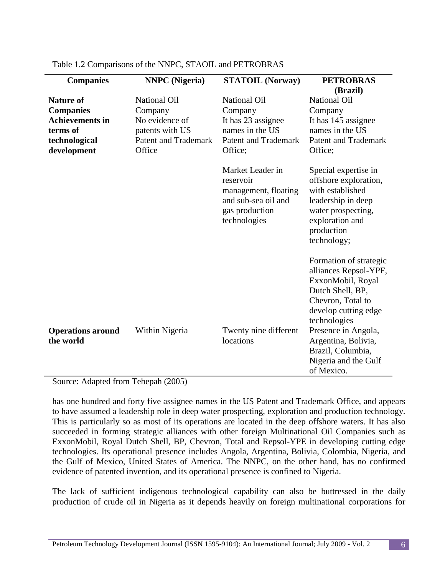| <b>Companies</b>                                                                                           | <b>NNPC</b> (Nigeria)                                                                                        | <b>STATOIL (Norway)</b>                                                                                           | <b>PETROBRAS</b>                                                                                                                                                             |
|------------------------------------------------------------------------------------------------------------|--------------------------------------------------------------------------------------------------------------|-------------------------------------------------------------------------------------------------------------------|------------------------------------------------------------------------------------------------------------------------------------------------------------------------------|
| <b>Nature of</b><br><b>Companies</b><br><b>Achievements in</b><br>terms of<br>technological<br>development | <b>National Oil</b><br>Company<br>No evidence of<br>patents with US<br><b>Patent and Trademark</b><br>Office | <b>National Oil</b><br>Company<br>It has 23 assignee<br>names in the US<br><b>Patent and Trademark</b><br>Office; | (Brazil)<br><b>National Oil</b><br>Company<br>It has 145 assignee<br>names in the US<br><b>Patent and Trademark</b><br>Office;                                               |
|                                                                                                            |                                                                                                              | Market Leader in<br>reservoir<br>management, floating<br>and sub-sea oil and<br>gas production<br>technologies    | Special expertise in<br>offshore exploration,<br>with established<br>leadership in deep<br>water prospecting,<br>exploration and<br>production<br>technology;                |
| <b>Operations around</b>                                                                                   | Within Nigeria                                                                                               | Twenty nine different                                                                                             | Formation of strategic<br>alliances Repsol-YPF,<br>ExxonMobil, Royal<br>Dutch Shell, BP,<br>Chevron, Total to<br>develop cutting edge<br>technologies<br>Presence in Angola, |
| the world                                                                                                  |                                                                                                              | locations                                                                                                         | Argentina, Bolivia,<br>Brazil, Columbia,<br>Nigeria and the Gulf<br>of Mexico.                                                                                               |

Table 1.2 Comparisons of the NNPC, STAOIL and PETROBRAS

Source: Adapted from Tebepah (2005)

has one hundred and forty five assignee names in the US Patent and Trademark Office, and appears to have assumed a leadership role in deep water prospecting, exploration and production technology. This is particularly so as most of its operations are located in the deep offshore waters. It has also succeeded in forming strategic alliances with other foreign Multinational Oil Companies such as ExxonMobil, Royal Dutch Shell, BP, Chevron, Total and Repsol-YPE in developing cutting edge technologies. Its operational presence includes Angola, Argentina, Bolivia, Colombia, Nigeria, and the Gulf of Mexico, United States of America. The NNPC, on the other hand, has no confirmed evidence of patented invention, and its operational presence is confined to Nigeria.

The lack of sufficient indigenous technological capability can also be buttressed in the daily production of crude oil in Nigeria as it depends heavily on foreign multinational corporations for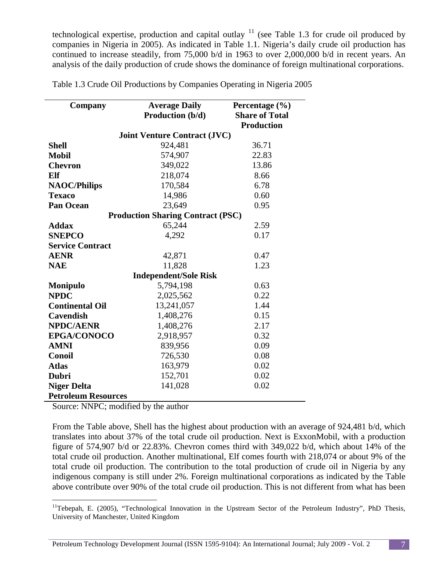technological expertise, production and capital outlay  $11$  (see Table 1.3 for crude oil produced by companies in Nigeria in 2005). As indicated in Table 1.1. Nigeria's daily crude oil production has continued to increase steadily, from 75,000 b/d in 1963 to over 2,000,000 b/d in recent years. An analysis of the daily production of crude shows the dominance of foreign multinational corporations.

Table 1.3 Crude Oil Productions by Companies Operating in Nigeria 2005

| Company                    | <b>Average Daily</b>                     | Percentage $(\% )$    |  |  |  |
|----------------------------|------------------------------------------|-----------------------|--|--|--|
|                            | Production (b/d)                         | <b>Share of Total</b> |  |  |  |
|                            |                                          | <b>Production</b>     |  |  |  |
|                            | <b>Joint Venture Contract (JVC)</b>      |                       |  |  |  |
| <b>Shell</b>               | 924,481                                  | 36.71                 |  |  |  |
| <b>Mobil</b>               | 574,907                                  | 22.83                 |  |  |  |
| <b>Chevron</b>             | 349,022                                  | 13.86                 |  |  |  |
| Elf                        | 218,074                                  | 8.66                  |  |  |  |
| <b>NAOC/Philips</b>        | 170,584                                  | 6.78                  |  |  |  |
| <b>Texaco</b>              | 14,986                                   | 0.60                  |  |  |  |
| <b>Pan Ocean</b>           | 23,649                                   | 0.95                  |  |  |  |
|                            | <b>Production Sharing Contract (PSC)</b> |                       |  |  |  |
| <b>Addax</b>               | 65,244                                   | 2.59                  |  |  |  |
| <b>SNEPCO</b>              | 4,292                                    | 0.17                  |  |  |  |
| <b>Service Contract</b>    |                                          |                       |  |  |  |
| <b>AENR</b>                | 42,871                                   | 0.47                  |  |  |  |
| <b>NAE</b>                 | 11,828                                   | 1.23                  |  |  |  |
|                            | <b>Independent/Sole Risk</b>             |                       |  |  |  |
| <b>Monipulo</b>            | 5,794,198                                | 0.63                  |  |  |  |
| <b>NPDC</b>                | 2,025,562                                | 0.22                  |  |  |  |
| <b>Continental Oil</b>     | 13,241,057                               | 1.44                  |  |  |  |
| <b>Cavendish</b>           | 1,408,276                                | 0.15                  |  |  |  |
| <b>NPDC/AENR</b>           | 1,408,276                                | 2.17                  |  |  |  |
| <b>EPGA/CONOCO</b>         | 2,918,957                                | 0.32                  |  |  |  |
| <b>AMNI</b>                | 839,956                                  | 0.09                  |  |  |  |
| <b>Conoil</b>              | 726,530                                  | 0.08                  |  |  |  |
| <b>Atlas</b>               | 163,979                                  | 0.02                  |  |  |  |
| <b>Dubri</b>               | 152,701                                  | 0.02                  |  |  |  |
| <b>Niger Delta</b>         | 141,028                                  | 0.02                  |  |  |  |
| <b>Petroleum Resources</b> |                                          |                       |  |  |  |

Source: NNPC; modified by the author

From the Table above, Shell has the highest about production with an average of 924,481 b/d, which translates into about 37% of the total crude oil production. Next is ExxonMobil, with a production figure of 574,907 b/d or 22.83%. Chevron comes third with 349,022 b/d, which about 14% of the total crude oil production. Another multinational, Elf comes fourth with 218,074 or about 9% of the total crude oil production. The contribution to the total production of crude oil in Nigeria by any indigenous company is still under 2%. Foreign multinational corporations as indicated by the Table above contribute over 90% of the total crude oil production. This is not different from what has been

<span id="page-6-0"></span><sup>&</sup>lt;sup>11</sup>Tebepah, E. (2005), "Technological Innovation in the Upstream Sector of the Petroleum Industry", PhD Thesis, University of Manchester, United Kingdom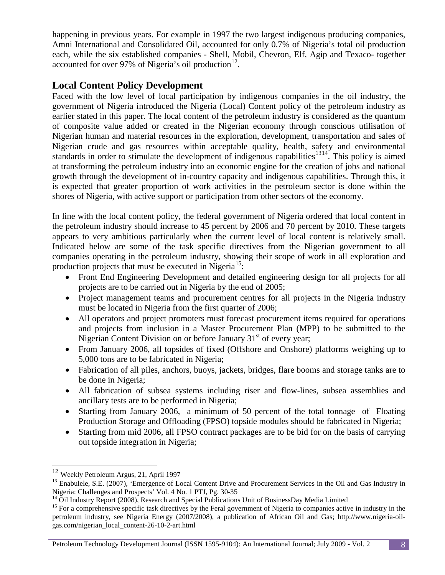happening in previous years. For example in 1997 the two largest indigenous producing companies, Amni International and Consolidated Oil, accounted for only 0.7% of Nigeria's total oil production each, while the six established companies - Shell, Mobil, Chevron, Elf, Agip and Texaco- together accounted for over 97% of Nigeria's oil production $^{12}$ .

## **Local Content Policy Development**

Faced with the low level of local participation by indigenous companies in the oil industry, the government of Nigeria introduced the Nigeria (Local) Content policy of the petroleum industry as earlier stated in this paper. The local content of the petroleum industry is considered as the quantum of composite value added or created in the Nigerian economy through conscious utilisation of Nigerian human and material resources in the exploration, development, transportation and sales of Nigerian crude and gas resources within acceptable quality, health, safety and environmental standards in order to stimulate the development of indigenous capabilities<sup>[13](#page-7-1)[14](#page-7-2)</sup>. This policy is aimed at transforming the petroleum industry into an economic engine for the creation of jobs and national growth through the development of in-country capacity and indigenous capabilities. Through this, it is expected that greater proportion of work activities in the petroleum sector is done within the shores of Nigeria, with active support or participation from other sectors of the economy.

In line with the local content policy, the federal government of Nigeria ordered that local content in the petroleum industry should increase to 45 percent by 2006 and 70 percent by 2010. These targets appears to very ambitious particularly when the current level of local content is relatively small. Indicated below are some of the task specific directives from the Nigerian government to all companies operating in the petroleum industry, showing their scope of work in all exploration and production projects that must be executed in Nigeria<sup>[15](#page-7-3)</sup>:

- Front End Engineering Development and detailed engineering design for all projects for all projects are to be carried out in Nigeria by the end of 2005;
- Project management teams and procurement centres for all projects in the Nigeria industry must be located in Nigeria from the first quarter of 2006;
- All operators and project promoters must forecast procurement items required for operations and projects from inclusion in a Master Procurement Plan (MPP) to be submitted to the Nigerian Content Division on or before January  $31<sup>st</sup>$  of every year;
- From January 2006, all topsides of fixed (Offshore and Onshore) platforms weighing up to 5,000 tons are to be fabricated in Nigeria;
- Fabrication of all piles, anchors, buoys, jackets, bridges, flare booms and storage tanks are to be done in Nigeria;
- All fabrication of subsea systems including riser and flow-lines, subsea assemblies and ancillary tests are to be performed in Nigeria;
- Starting from January 2006, a minimum of 50 percent of the total tonnage of Floating Production Storage and Offloading (FPSO) topside modules should be fabricated in Nigeria;
- Starting from mid 2006, all FPSO contract packages are to be bid for on the basis of carrying out topside integration in Nigeria;

#### Petroleum Technology Development Journal (ISSN 1595-9104): An International Journal; July 2009 - Vol. 2 8

<span id="page-7-0"></span> <sup>12</sup> Weekly Petroleum Argus, 21, April 1997

<span id="page-7-1"></span><sup>&</sup>lt;sup>13</sup> Enabulele, S.E. (2007), 'Emergence of Local Content Drive and Procurement Services in the Oil and Gas Industry in Nigeria: Challenges and Prospects' Vol. 4 No. 1 PTJ, Pg. 30-35

<span id="page-7-3"></span><span id="page-7-2"></span><sup>&</sup>lt;sup>14</sup> Oil Industry Report (2008), Research and Special Publications Unit of BusinessDay Media Limited <sup>15</sup> For a comprehensive specific task directives by the Feral government of Nigeria to companies active in industry in petroleum industry, see Nigeria Energy (2007/2008), a publication of African Oil and Gas; http://www.nigeria-oilgas.com/nigerian\_local\_content-26-10-2-art.html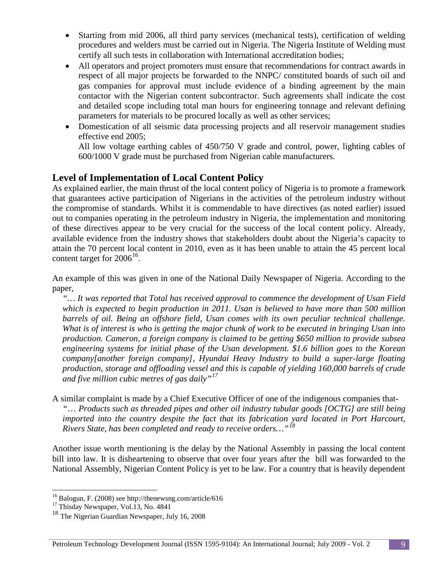- Starting from mid 2006, all third party services (mechanical tests), certification of welding procedures and welders must be carried out in Nigeria. The Nigeria Institute of Welding must certify all such tests in collaboration with International accreditation bodies;
- All operators and project promoters must ensure that recommendations for contract awards in respect of all major projects be forwarded to the NNPC/ constituted boards of such oil and gas companies for approval must include evidence of a binding agreement by the main contactor with the Nigerian content subcontractor. Such agreements shall indicate the cost and detailed scope including total man hours for engineering tonnage and relevant defining parameters for materials to be procured locally as well as other services;
- Domestication of all seismic data processing projects and all reservoir management studies effective end 2005;

All low voltage earthing cables of 450/750 V grade and control, power, lighting cables of 600/1000 V grade must be purchased from Nigerian cable manufacturers.

### **Level of Implementation of Local Content Policy**

As explained earlier, the main thrust of the local content policy of Nigeria is to promote a framework that guarantees active participation of Nigerians in the activities of the petroleum industry without the compromise of standards. Whilst it is commendable to have directives (as noted earlier) issued out to companies operating in the petroleum industry in Nigeria, the implementation and monitoring of these directives appear to be very crucial for the success of the local content policy. Already, available evidence from the industry shows that stakeholders doubt about the Nigeria's capacity to attain the 70 percent local content in 2010, even as it has been unable to attain the 45 percent local content target for  $2006^{16}$  $2006^{16}$  $2006^{16}$ .

An example of this was given in one of the National Daily Newspaper of Nigeria. According to the paper,

*"… It was reported that Total has received approval to commence the development of Usan Field which is expected to begin production in 2011. Usan is believed to have more than 500 million barrels of oil. Being an offshore field, Usan comes with its own peculiar technical challenge. What is of interest is who is getting the major chunk of work to be executed in bringing Usan into production. Cameron, a foreign company is claimed to be getting \$650 million to provide subsea engineering systems for initial phase of the Usan development. \$1.6 billion goes to the Korean company[another foreign company], Hyundai Heavy Industry to build a super-large floating production, storage and offloading vessel and this is capable of yielding 160,000 barrels of crude and five million cubic metres of gas daily"[17](#page-8-1)*

A similar complaint is made by a Chief Executive Officer of one of the indigenous companies that- *"*… *Products such as threaded pipes and other oil industry tubular goods [OCTG] are still being imported into the country despite the fact that its fabrication yard located in Port Harcourt, Rivers State, has been completed and ready to receive orders…"[18](#page-8-2)*

Another issue worth mentioning is the delay by the National Assembly in passing the local content bill into law. It is disheartening to observe that over four years after the bill was forwarded to the National Assembly, Nigerian Content Policy is yet to be law. For a country that is heavily dependent

<span id="page-8-0"></span><sup>&</sup>lt;sup>16</sup> Balogun, F. (2008) see http://thenewsng.com/article/616  $\frac{17}{17}$  Thisday Newspaper, Vol.13, No. 4841

<span id="page-8-1"></span>

<span id="page-8-2"></span><sup>&</sup>lt;sup>18</sup> The Nigerian Guardian Newspaper, July 16, 2008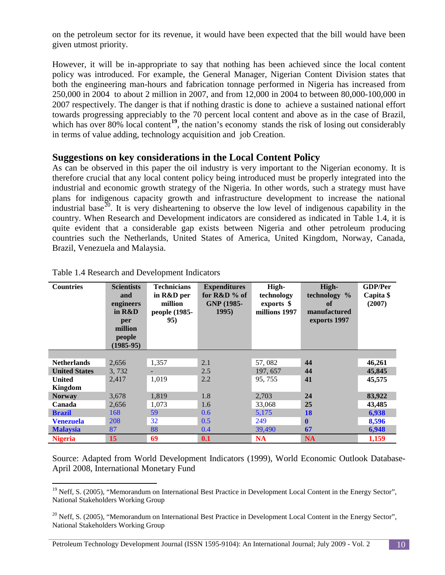on the petroleum sector for its revenue, it would have been expected that the bill would have been given utmost priority.

However, it will be in-appropriate to say that nothing has been achieved since the local content policy was introduced. For example, the General Manager, Nigerian Content Division states that both the engineering man-hours and fabrication tonnage performed in Nigeria has increased from 250,000 in 2004 to about 2 million in 2007, and from 12,000 in 2004 to between 80,000-100,000 in 2007 respectively. The danger is that if nothing drastic is done to achieve a sustained national effort towards progressing appreciably to the 70 percent local content and above as in the case of Brazil, which has over 80% local content<sup>[19](#page-9-0)</sup>, the nation's economy stands the risk of losing out considerably in terms of value adding, technology acquisition and job Creation.

#### **Suggestions on key considerations in the Local Content Policy**

As can be observed in this paper the oil industry is very important to the Nigerian economy. It is therefore crucial that any local content policy being introduced must be properly integrated into the industrial and economic growth strategy of the Nigeria. In other words, such a strategy must have plans for indigenous capacity growth and infrastructure development to increase the national industrial base<sup>[20](#page-9-1)</sup>. It is very disheartening to observe the low level of indigenous capability in the country. When Research and Development indicators are considered as indicated in Table 1.4, it is quite evident that a considerable gap exists between Nigeria and other petroleum producing countries such the Netherlands, United States of America, United Kingdom, Norway, Canada, Brazil, Venezuela and Malaysia.

| <b>Countries</b>     | <b>Scientists</b><br>and<br>engineers<br>in R&D<br>per<br>million<br>people<br>$(1985-95)$ | <b>Technicians</b><br>in R&D per<br>million<br>people (1985-<br>95) | <b>Expenditures</b><br>for $R&D\%$ of<br>GNP (1985-<br>1995 | High-<br>technology<br>exports \$<br>millions 1997 | High-<br>technology %<br>of<br>manufactured<br>exports 1997 | <b>GDP/Per</b><br>Capita \$<br>(2007) |
|----------------------|--------------------------------------------------------------------------------------------|---------------------------------------------------------------------|-------------------------------------------------------------|----------------------------------------------------|-------------------------------------------------------------|---------------------------------------|
|                      |                                                                                            |                                                                     |                                                             |                                                    |                                                             |                                       |
| <b>Netherlands</b>   | 2,656                                                                                      | 1,357                                                               | 2.1                                                         | 57,082                                             | 44                                                          | 46,261                                |
| <b>United States</b> | 3,732                                                                                      |                                                                     | 2.5                                                         | 197, 657                                           | 44                                                          | 45,845                                |
| <b>United</b>        | 2,417                                                                                      | 1,019                                                               | 2.2                                                         | 95, 755                                            | 41                                                          | 45,575                                |
| <b>Kingdom</b>       |                                                                                            |                                                                     |                                                             |                                                    |                                                             |                                       |
| <b>Norway</b>        | 3,678                                                                                      | 1,819                                                               | 1.8                                                         | 2,703                                              | 24                                                          | 83,922                                |
| Canada               | 2,656                                                                                      | 1,073                                                               | 1.6                                                         | 33,068                                             | 25                                                          | 43,485                                |
| <b>Brazil</b>        | 168                                                                                        | 59                                                                  | 0.6                                                         | 5,175                                              | 18                                                          | 6,938                                 |
| <b>Venezuela</b>     | 208                                                                                        | 32                                                                  | 0.5                                                         | 249                                                | $\mathbf{0}$                                                | 8,596                                 |
| <b>Malaysia</b>      | 87                                                                                         | 88                                                                  | 0.4                                                         | 39,490                                             | 67                                                          | 6,948                                 |
| <b>Nigeria</b>       | 15                                                                                         | 69                                                                  | 0.1                                                         | <b>NA</b>                                          | <b>NA</b>                                                   | 1,159                                 |

|  |  | Table 1.4 Research and Development Indicators |  |  |
|--|--|-----------------------------------------------|--|--|
|--|--|-----------------------------------------------|--|--|

Source: Adapted from World Development Indicators (1999), World Economic Outlook Database-April 2008, International Monetary Fund

<span id="page-9-0"></span><sup>&</sup>lt;sup>19</sup> Neff, S. (2005), "Memorandum on International Best Practice in Development Local Content in the Energy Sector", National Stakeholders Working Group

<span id="page-9-1"></span> $20$  Neff, S. (2005), "Memorandum on International Best Practice in Development Local Content in the Energy Sector", National Stakeholders Working Group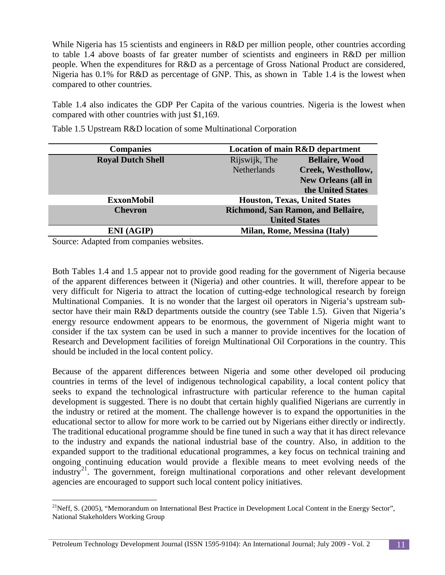While Nigeria has 15 scientists and engineers in R&D per million people, other countries according to table 1.4 above boasts of far greater number of scientists and engineers in R&D per million people. When the expenditures for R&D as a percentage of Gross National Product are considered, Nigeria has 0.1% for R&D as percentage of GNP. This, as shown in Table 1.4 is the lowest when compared to other countries.

Table 1.4 also indicates the GDP Per Capita of the various countries. Nigeria is the lowest when compared with other countries with just \$1,169.

| <b>Companies</b>         | <b>Location of main R&amp;D department</b> |                            |
|--------------------------|--------------------------------------------|----------------------------|
| <b>Royal Dutch Shell</b> | Rijswijk, The                              | <b>Bellaire, Wood</b>      |
|                          | <b>Netherlands</b>                         | Creek, Westhollow,         |
|                          |                                            | <b>New Orleans (all in</b> |
|                          |                                            | the United States          |
| <b>ExxonMobil</b>        | <b>Houston, Texas, United States</b>       |                            |
| <b>Chevron</b>           | Richmond, San Ramon, and Bellaire,         |                            |
|                          | <b>United States</b>                       |                            |
| <b>ENI</b> (AGIP)        | Milan, Rome, Messina (Italy)               |                            |

Table 1.5 Upstream R&D location of some Multinational Corporation

Source: Adapted from companies websites.

Both Tables 1.4 and 1.5 appear not to provide good reading for the government of Nigeria because of the apparent differences between it (Nigeria) and other countries. It will, therefore appear to be very difficult for Nigeria to attract the location of cutting-edge technological research by foreign Multinational Companies. It is no wonder that the largest oil operators in Nigeria's upstream subsector have their main R&D departments outside the country (see Table 1.5). Given that Nigeria's energy resource endowment appears to be enormous, the government of Nigeria might want to consider if the tax system can be used in such a manner to provide incentives for the location of Research and Development facilities of foreign Multinational Oil Corporations in the country. This should be included in the local content policy.

Because of the apparent differences between Nigeria and some other developed oil producing countries in terms of the level of indigenous technological capability, a local content policy that seeks to expand the technological infrastructure with particular reference to the human capital development is suggested. There is no doubt that certain highly qualified Nigerians are currently in the industry or retired at the moment. The challenge however is to expand the opportunities in the educational sector to allow for more work to be carried out by Nigerians either directly or indirectly. The traditional educational programme should be fine tuned in such a way that it has direct relevance to the industry and expands the national industrial base of the country. Also, in addition to the expanded support to the traditional educational programmes, a key focus on technical training and ongoing continuing education would provide a flexible means to meet evolving needs of the industry<sup>[21](#page-10-0)</sup>. The government, foreign multinational corporations and other relevant development agencies are encouraged to support such local content policy initiatives.

<span id="page-10-0"></span><sup>&</sup>lt;sup>21</sup>Neff, S. (2005), "Memorandum on International Best Practice in Development Local Content in the Energy Sector", National Stakeholders Working Group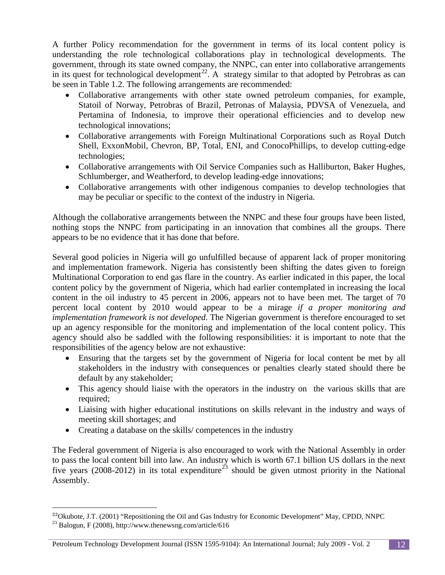A further Policy recommendation for the government in terms of its local content policy is understanding the role technological collaborations play in technological developments. The government, through its state owned company, the NNPC, can enter into collaborative arrangements in its quest for technological development<sup>[22](#page-11-0)</sup>. A strategy similar to that adopted by Petrobras as can be seen in Table 1.2. The following arrangements are recommended:

- Collaborative arrangements with other state owned petroleum companies, for example, Statoil of Norway, Petrobras of Brazil, Petronas of Malaysia, PDVSA of Venezuela, and Pertamina of Indonesia, to improve their operational efficiencies and to develop new technological innovations;
- Collaborative arrangements with Foreign Multinational Corporations such as Royal Dutch Shell, ExxonMobil, Chevron, BP, Total, ENI, and ConocoPhillips, to develop cutting-edge technologies;
- Collaborative arrangements with Oil Service Companies such as Halliburton, Baker Hughes, Schlumberger, and Weatherford, to develop leading-edge innovations;
- Collaborative arrangements with other indigenous companies to develop technologies that may be peculiar or specific to the context of the industry in Nigeria.

Although the collaborative arrangements between the NNPC and these four groups have been listed, nothing stops the NNPC from participating in an innovation that combines all the groups. There appears to be no evidence that it has done that before.

Several good policies in Nigeria will go unfulfilled because of apparent lack of proper monitoring and implementation framework. Nigeria has consistently been shifting the dates given to foreign Multinational Corporation to end gas flare in the country. As earlier indicated in this paper, the local content policy by the government of Nigeria, which had earlier contemplated in increasing the local content in the oil industry to 45 percent in 2006, appears not to have been met. The target of 70 percent local content by 2010 would appear to be a mirage *if a proper monitoring and implementation framework is not developed*. The Nigerian government is therefore encouraged to set up an agency responsible for the monitoring and implementation of the local content policy. This agency should also be saddled with the following responsibilities: it is important to note that the responsibilities of the agency below are not exhaustive:

- Ensuring that the targets set by the government of Nigeria for local content be met by all stakeholders in the industry with consequences or penalties clearly stated should there be default by any stakeholder;
- This agency should liaise with the operators in the industry on the various skills that are required;
- Liaising with higher educational institutions on skills relevant in the industry and ways of meeting skill shortages; and
- Creating a database on the skills/ competences in the industry

 $\overline{a}$ 

The Federal government of Nigeria is also encouraged to work with the National Assembly in order to pass the local content bill into law. An industry which is worth 67.1 billion US dollars in the next five years (2008-2012) in its total expenditure<sup>[23](#page-11-1)</sup> should be given utmost priority in the National Assembly.

<span id="page-11-1"></span><span id="page-11-0"></span> $^{22}$ Okubote, J.T. (2001) "Repositioning the Oil and Gas Industry for Economic Development" May, CPDD, NNPC <sup>23</sup> Balogun, F (2008), http://www.thenewsng.com/article/616

Petroleum Technology Development Journal (ISSN 1595-9104): An International Journal; July 2009 - Vol. 2 12